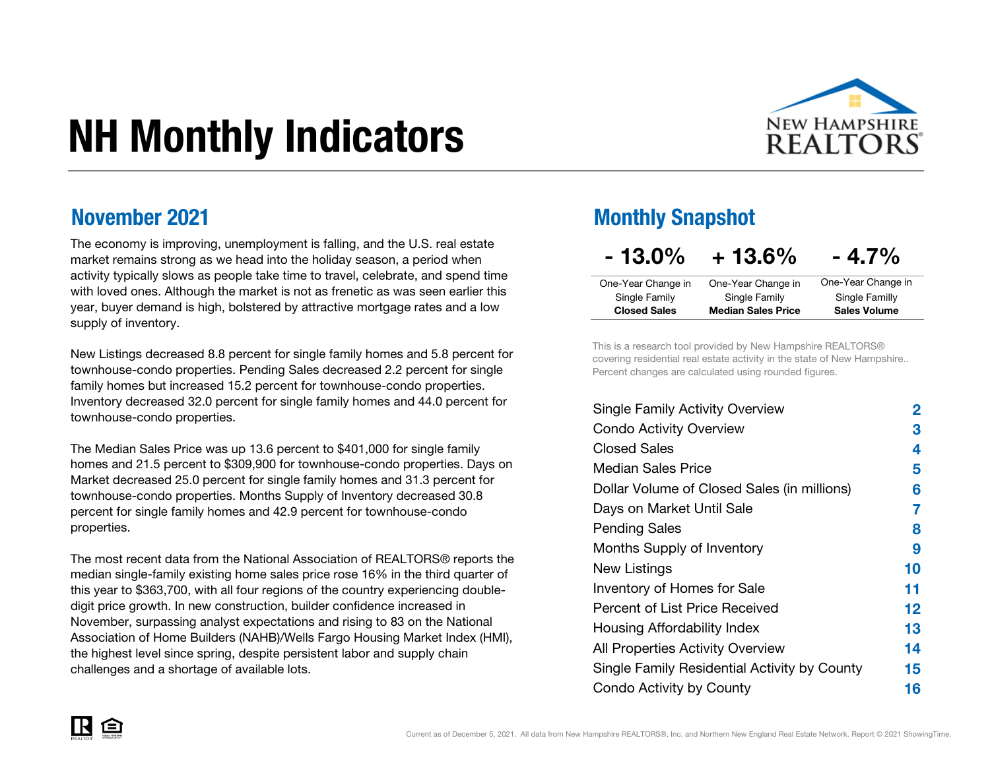# NH Monthly Indicators



#### November 2021

The economy is improving, unemployment is falling, and the U.S. real estate market remains strong as we head into the holiday season, a period when activity typically slows as people take time to travel, celebrate, and spend time with loved ones. Although the market is not as frenetic as was seen earlier this year, buyer demand is high, bolstered by attractive mortgage rates and a low supply of inventory.

New Listings decreased 8.8 percent for single family homes and 5.8 percent for townhouse-condo properties. Pending Sales decreased 2.2 percent for single family homes but increased 15.2 percent for townhouse-condo properties. Inventory decreased 32.0 percent for single family homes and 44.0 percent for townhouse-condo properties.

The Median Sales Price was up 13.6 percent to \$401,000 for single family homes and 21.5 percent to \$309,900 for townhouse-condo properties. Days on Market decreased 25.0 percent for single family homes and 31.3 percent for townhouse-condo properties. Months Supply of Inventory decreased 30.8 percent for single family homes and 42.9 percent for townhouse-condo properties.

The most recent data from the National Association of REALTORS® reports the median single-family existing home sales price rose 16% in the third quarter of this year to \$363,700, with all four regions of the country experiencing doubledigit price growth. In new construction, builder confidence increased in November, surpassing analyst expectations and rising to 83 on the National Association of Home Builders (NAHB)/Wells Fargo Housing Market Index (HMI), the highest level since spring, despite persistent labor and supply chain challenges and a shortage of available lots.

#### Monthly Snapshot

| $-13.0\%$           | $+13.6\%$                 | $-4.7\%$            |
|---------------------|---------------------------|---------------------|
| One-Year Change in  | One-Year Change in        | One-Year Change in  |
| Single Family       | Single Family             | Single Familly      |
| <b>Closed Sales</b> | <b>Median Sales Price</b> | <b>Sales Volume</b> |

This is a research tool provided by New Hampshire REALTORS® covering residential real estate activity in the state of New Hampshire.. Percent changes are calculated using rounded figures.

| Single Family Activity Overview              | 2       |
|----------------------------------------------|---------|
| <b>Condo Activity Overview</b>               | 3       |
| <b>Closed Sales</b>                          | 4       |
| Median Sales Price                           | 5       |
| Dollar Volume of Closed Sales (in millions)  | 6       |
| Days on Market Until Sale                    | 7       |
| Pending Sales                                | 8       |
| Months Supply of Inventory                   | 9       |
| New Listings                                 | 10      |
| <b>Inventory of Homes for Sale</b>           | 11      |
| Percent of List Price Received               | $12 \,$ |
| Housing Affordability Index                  | 13      |
| All Properties Activity Overview             | 14      |
| Single Family Residential Activity by County | 15      |
| Condo Activity by County                     | 16      |

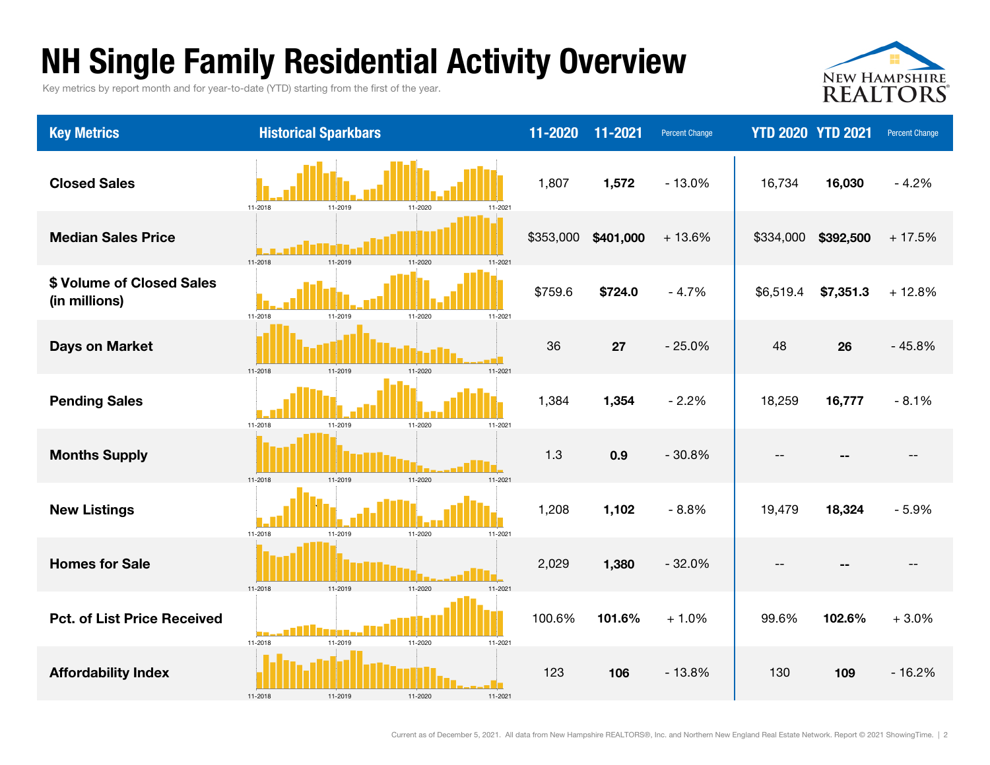### NH Single Family Residential Activity Overview

Key metrics by report month and for year-to-date (YTD) starting from the first of the year.



| <b>Key Metrics</b>                         | <b>Historical Sparkbars</b>              | 11-2020   | 11-2021   | <b>Percent Change</b> | <b>YTD 2020 YTD 2021</b> |           | <b>Percent Change</b> |
|--------------------------------------------|------------------------------------------|-----------|-----------|-----------------------|--------------------------|-----------|-----------------------|
| <b>Closed Sales</b>                        | 11-2018<br>11-2019<br>11-2020<br>11-2021 | 1,807     | 1,572     | $-13.0%$              | 16,734                   | 16,030    | $-4.2%$               |
| <b>Median Sales Price</b>                  | 11-2018<br>11-2019<br>11-2020<br>11-2021 | \$353,000 | \$401,000 | $+13.6%$              | \$334,000                | \$392,500 | $+17.5%$              |
| \$ Volume of Closed Sales<br>(in millions) | 11-2018<br>11-2019<br>11-2020<br>11-2021 | \$759.6   | \$724.0   | $-4.7%$               | \$6,519.4                | \$7,351.3 | $+12.8%$              |
| <b>Days on Market</b>                      | 11-2019<br>11-2021<br>11-2018<br>11-2020 | 36        | 27        | $-25.0%$              | 48                       | 26        | $-45.8%$              |
| <b>Pending Sales</b>                       | 11-2018<br>11-2019<br>11-2020<br>11-2021 | 1,384     | 1,354     | $-2.2%$               | 18,259                   | 16,777    | $-8.1%$               |
| <b>Months Supply</b>                       | 11-2019<br>11-2020<br>11-2021<br>11-2018 | 1.3       | 0.9       | $-30.8%$              | $-$                      |           | $-$                   |
| <b>New Listings</b>                        | 11-2018<br>11-2019<br>11-2020<br>11-2021 | 1,208     | 1,102     | $-8.8%$               | 19,479                   | 18,324    | $-5.9%$               |
| <b>Homes for Sale</b>                      | 11-2019<br>11-2020<br>11-2018<br>11-2021 | 2,029     | 1,380     | $-32.0%$              | $- -$                    |           | $-$                   |
| <b>Pct. of List Price Received</b>         | 11-2018<br>11-2019<br>11-2020<br>11-2021 | 100.6%    | 101.6%    | $+1.0%$               | 99.6%                    | 102.6%    | $+3.0%$               |
| <b>Affordability Index</b>                 | 11-2018<br>11-2020<br>11-2019<br>11-2021 | 123       | 106       | $-13.8%$              | 130                      | 109       | $-16.2%$              |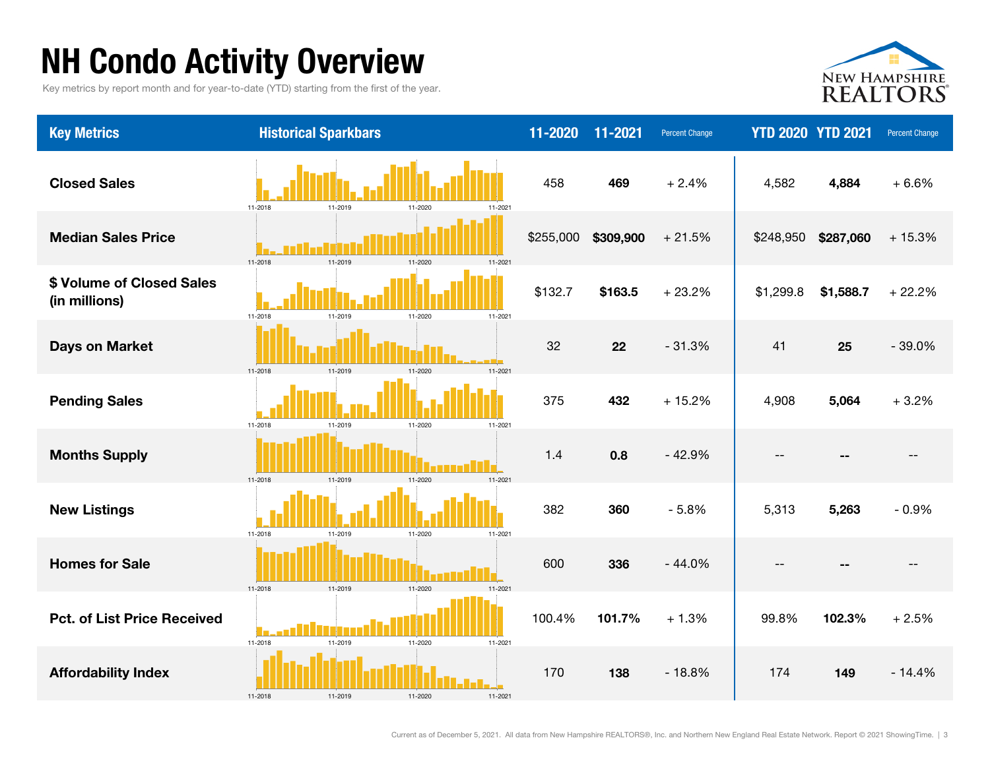# NH Condo Activity Overview

Key metrics by report month and for year-to-date (YTD) starting from the first of the year.



| <b>Key Metrics</b>                         | <b>Historical Sparkbars</b>                  | 11-2020   | 11-2021   | <b>Percent Change</b> | <b>YTD 2020 YTD 2021</b> |           | <b>Percent Change</b> |
|--------------------------------------------|----------------------------------------------|-----------|-----------|-----------------------|--------------------------|-----------|-----------------------|
| <b>Closed Sales</b>                        | 11-2018<br>11-2019<br>11-2020<br>11-2021     | 458       | 469       | $+2.4%$               | 4,582                    | 4,884     | $+6.6%$               |
| <b>Median Sales Price</b>                  | 11-2018<br>11-2019<br>11-2020<br>11-2021     | \$255,000 | \$309,900 | $+21.5%$              | \$248,950                | \$287,060 | $+15.3%$              |
| \$ Volume of Closed Sales<br>(in millions) | 11-2018<br>11-2020<br>11-2021<br>11-2019     | \$132.7   | \$163.5   | $+23.2%$              | \$1,299.8                | \$1,588.7 | $+22.2%$              |
| <b>Days on Market</b>                      | $11 - 2021$<br>11-2019<br>11-2020<br>11-2018 | 32        | 22        | $-31.3%$              | 41                       | 25        | $-39.0%$              |
| <b>Pending Sales</b>                       | 11-2018<br>11-2020<br>11-2021<br>11-2019     | 375       | 432       | $+15.2%$              | 4,908                    | 5,064     | $+3.2%$               |
| <b>Months Supply</b>                       | 11-2021<br>11-2018<br>11-2019<br>11-2020     | 1.4       | 0.8       | $-42.9%$              | $- -$                    |           |                       |
| <b>New Listings</b>                        | 11-2018<br>11-2020<br>11-2021<br>11-2019     | 382       | 360       | $-5.8%$               | 5,313                    | 5,263     | $-0.9%$               |
| <b>Homes for Sale</b>                      | 11-2018<br>11-2020<br>11-2019<br>11-2021     | 600       | 336       | $-44.0%$              | $-$                      |           | $- -$                 |
| <b>Pct. of List Price Received</b>         | 11-2018<br>11-2020<br>11-2019<br>11-2021     | 100.4%    | 101.7%    | $+1.3%$               | 99.8%                    | 102.3%    | $+2.5%$               |
| <b>Affordability Index</b>                 | 11-2018<br>11-2020<br>11-2021                | 170       | 138       | $-18.8%$              | 174                      | 149       | $-14.4%$              |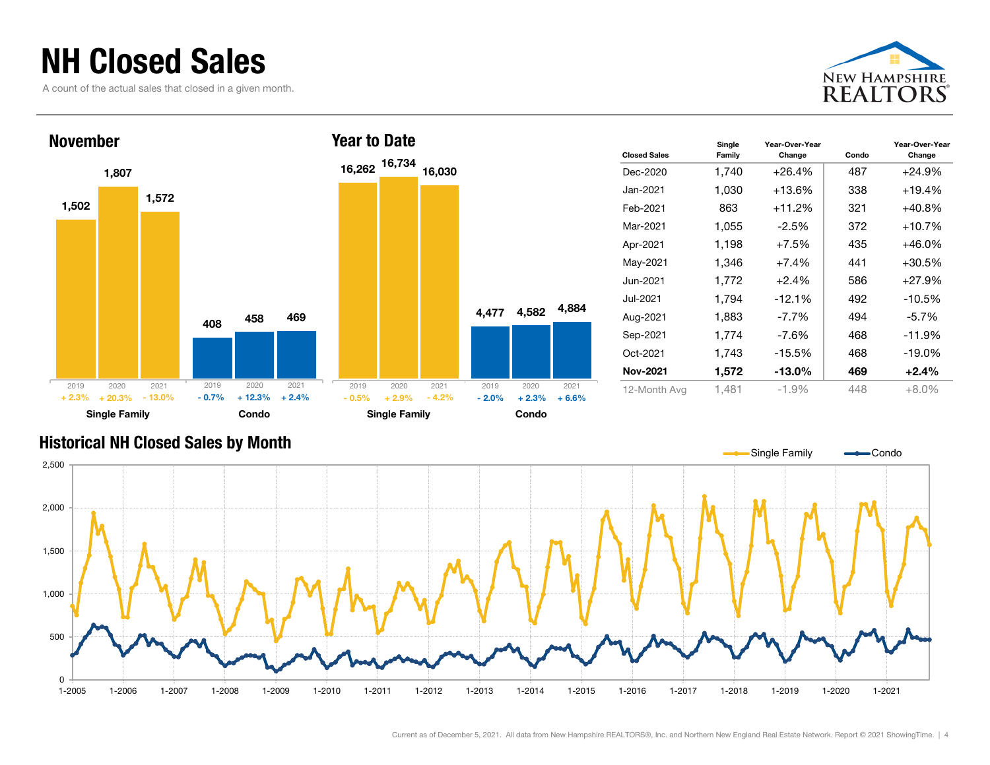### NH Closed Sales

A count of the actual sales that closed in a given month.





| <b>Closed Sales</b> | Single<br>Family | Year-Over-Year<br>Change | Condo | Year-Over-Year<br>Change |
|---------------------|------------------|--------------------------|-------|--------------------------|
| Dec-2020            | 1,740            | $+26.4%$                 | 487   | $+24.9%$                 |
| Jan-2021            | 1,030            | $+13.6\%$                | 338   | $+19.4%$                 |
| Feb-2021            | 863              | $+11.2%$                 | 321   | $+40.8%$                 |
| Mar-2021            | 1,055            | $-2.5\%$                 | 372   | $+10.7\%$                |
| Apr-2021            | 1,198            | $+7.5%$                  | 435   | $+46.0%$                 |
| May-2021            | 1,346            | $+7.4%$                  | 441   | $+30.5%$                 |
| Jun-2021            | 1.772            | $+2.4%$                  | 586   | $+27.9%$                 |
| Jul-2021            | 1.794            | $-12.1%$                 | 492   | $-10.5%$                 |
| Aug-2021            | 1,883            | $-7.7\%$                 | 494   | $-5.7%$                  |
| Sep-2021            | 1,774            | -7.6%                    | 468   | $-11.9%$                 |
| Oct-2021            | 1,743            | $-15.5%$                 | 468   | $-19.0\%$                |
| <b>Nov-2021</b>     | 1,572            | $-13.0\%$                | 469   | $+2.4%$                  |
| 12-Month Avg        | 1,481            | $-1.9%$                  | 448   | $+8.0%$                  |

#### Historical NH Closed Sales by Month

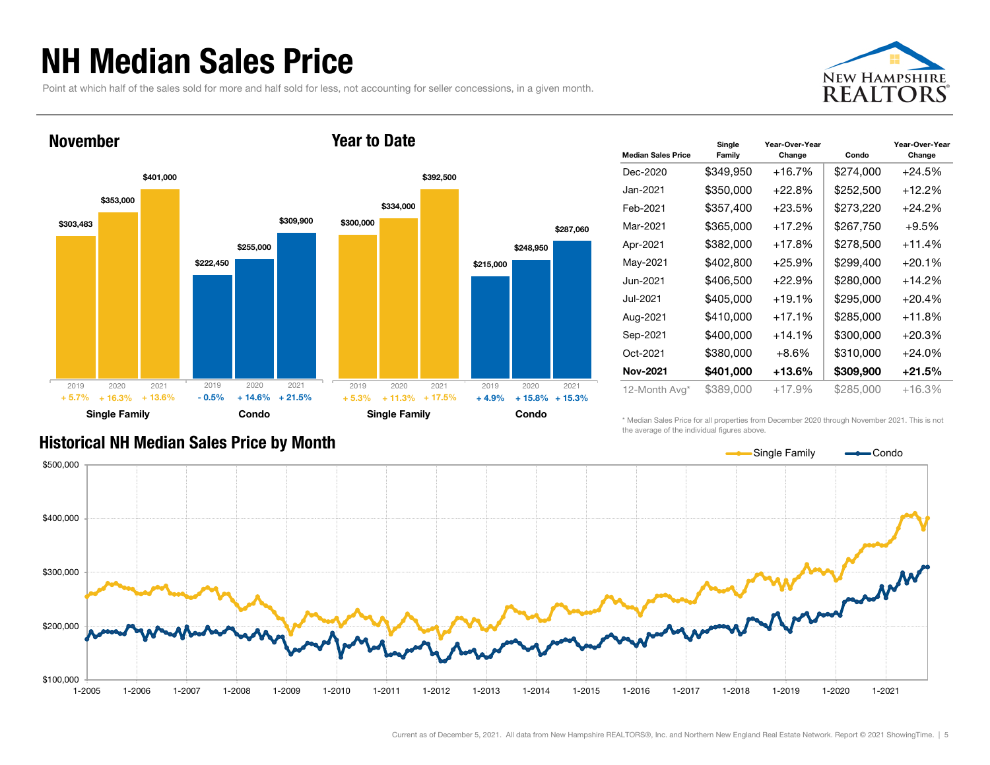### NH Median Sales Price

Point at which half of the sales sold for more and half sold for less, not accounting for seller concessions, in a given month.





| <b>Median Sales Price</b> | Single<br>Family | Year-Over-Year<br>Change | Condo     | Year-Over-Year<br>Change |
|---------------------------|------------------|--------------------------|-----------|--------------------------|
| Dec-2020                  | \$349,950        | $+16.7%$                 | \$274,000 | $+24.5%$                 |
| Jan-2021                  | \$350,000        | $+22.8%$                 | \$252,500 | $+12.2%$                 |
| Feb-2021                  | \$357,400        | $+23.5%$                 | \$273,220 | $+24.2%$                 |
| Mar-2021                  | \$365,000        | +17.2%                   | \$267,750 | $+9.5%$                  |
| Apr-2021                  | \$382,000        | $+17.8%$                 | \$278,500 | $+11.4%$                 |
| May-2021                  | \$402,800        | $+25.9%$                 | \$299,400 | $+20.1%$                 |
| Jun-2021                  | \$406,500        | $+22.9%$                 | \$280.000 | $+14.2%$                 |
| Jul-2021                  | \$405,000        | $+19.1%$                 | \$295,000 | $+20.4%$                 |
| Aug-2021                  | \$410,000        | $+17.1%$                 | \$285,000 | $+11.8%$                 |
| Sep-2021                  | \$400,000        | +14.1%                   | \$300,000 | $+20.3%$                 |
| Oct-2021                  | \$380,000        | $+8.6\%$                 | \$310,000 | $+24.0%$                 |
| <b>Nov-2021</b>           | \$401,000        | +13.6%                   | \$309,900 | $+21.5%$                 |
| 12-Month Avg*             | \$389,000        | $+17.9%$                 | \$285,000 | +16.3%                   |

#### Historical NH Median Sales Price by Month

\* Median Sales Price for all properties from December 2020 through November 2021. This is not the average of the individual figures above.

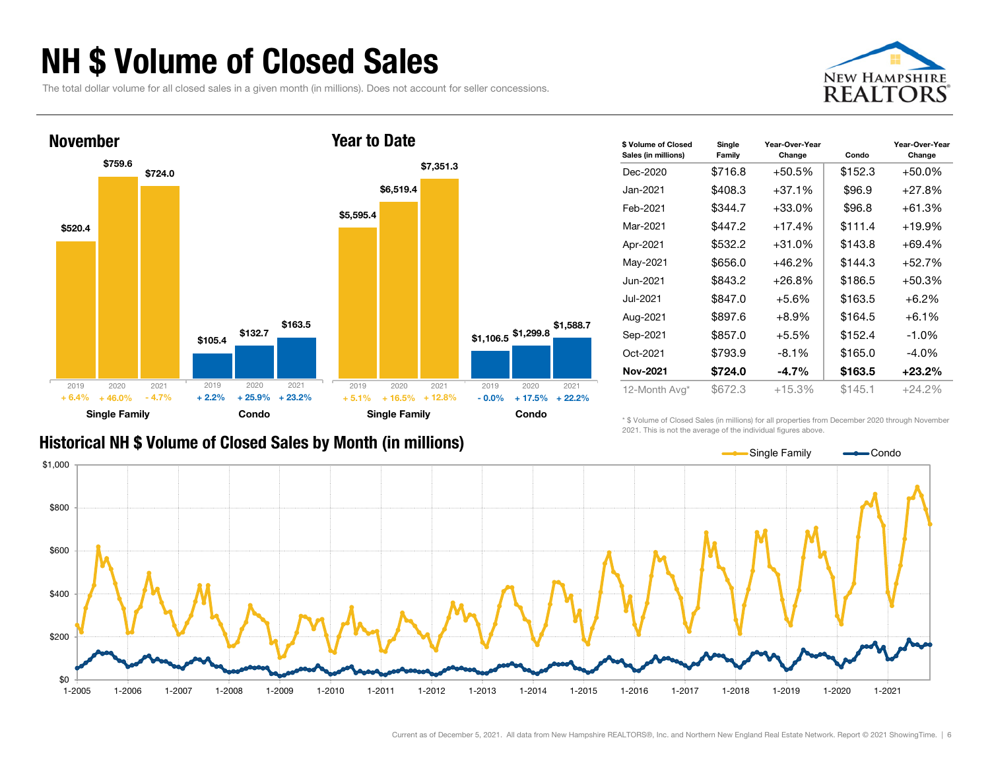### NH \$ Volume of Closed Sales

The total dollar volume for all closed sales in a given month (in millions). Does not account for seller concessions.





#### Historical NH \$ Volume of Closed Sales by Month (in millions)

| \$ Volume of Closed<br>Sales (in millions) | Single<br>Family | Year-Over-Year<br>Change | Condo   | Year-Over-Year<br>Change |
|--------------------------------------------|------------------|--------------------------|---------|--------------------------|
| Dec-2020                                   | \$716.8          | +50.5%                   | \$152.3 | +50.0%                   |
| Jan-2021                                   | \$408.3          | $+37.1%$                 | \$96.9  | $+27.8%$                 |
| Feb-2021                                   | \$344.7          | $+33.0\%$                | \$96.8  | +61.3%                   |
| Mar-2021                                   | \$447.2          | $+17.4%$                 | \$111.4 | $+19.9%$                 |
| Apr-2021                                   | \$532.2          | $+31.0%$                 | \$143.8 | +69.4%                   |
| May-2021                                   | \$656.0          | $+46.2%$                 | \$144.3 | +52.7%                   |
| Jun-2021                                   | \$843.2          | $+26.8%$                 | \$186.5 | +50.3%                   |
| Jul-2021                                   | \$847.0          | $+5.6%$                  | \$163.5 | $+6.2%$                  |
| Aug-2021                                   | \$897.6          | $+8.9%$                  | \$164.5 | $+6.1%$                  |
| Sep-2021                                   | \$857.0          | $+5.5%$                  | \$152.4 | $-1.0\%$                 |
| Oct-2021                                   | \$793.9          | $-8.1%$                  | \$165.0 | $-4.0\%$                 |
| <b>Nov-2021</b>                            | \$724.0          | $-4.7%$                  | \$163.5 | +23.2%                   |
| 12-Month Avg*                              | \$672.3          | +15.3%                   | \$145.1 | +24.2%                   |

\* \$ Volume of Closed Sales (in millions) for all properties from December 2020 through November 2021. This is not the average of the individual figures above.

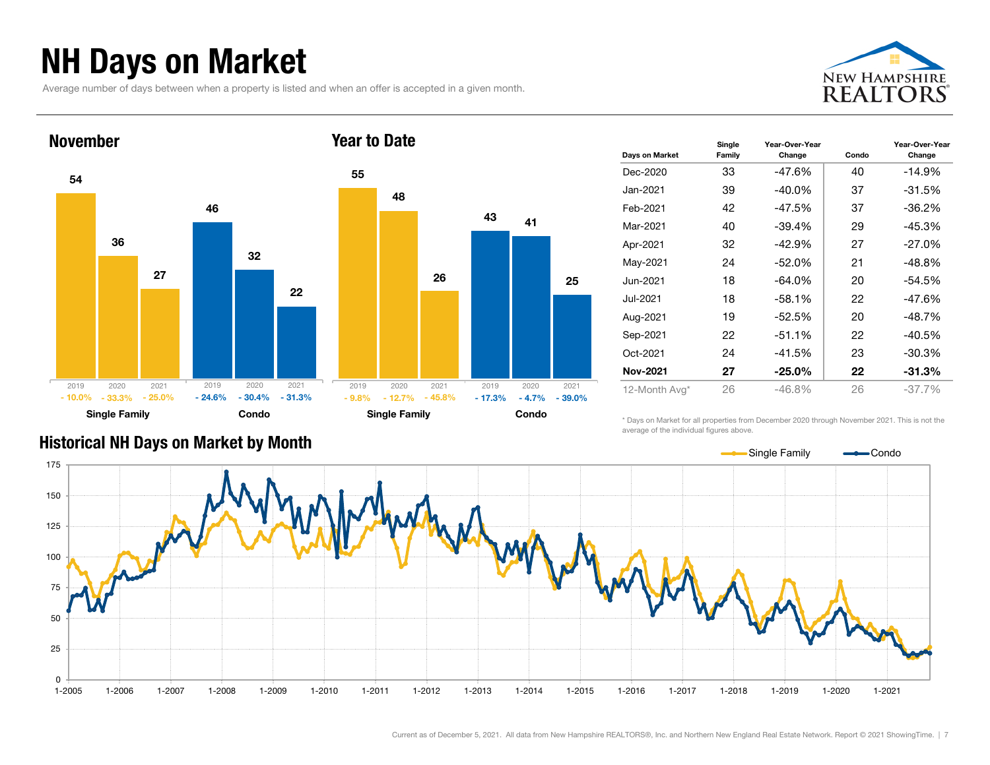### NH Days on Market

Average number of days between when a property is listed and when an offer is accepted in a given month.





| Days on Market  | Single<br>Family | Year-Over-Year<br>Change | Condo | Year-Over-Year<br>Change |
|-----------------|------------------|--------------------------|-------|--------------------------|
| Dec-2020        | 33               | -47.6%                   | 40    | $-14.9%$                 |
| Jan-2021        | 39               | $-40.0\%$                | 37    | $-31.5%$                 |
| Feb-2021        | 42               | $-47.5%$                 | 37    | $-36.2\%$                |
| Mar-2021        | 40               | $-39.4%$                 | 29    | $-45.3%$                 |
| Apr-2021        | 32               | $-42.9%$                 | 27    | $-27.0\%$                |
| May-2021        | 24               | $-52.0\%$                | 21    | $-48.8%$                 |
| Jun-2021        | 18               | $-64.0\%$                | 20    | $-54.5%$                 |
| Jul-2021        | 18               | $-58.1%$                 | 22    | $-47.6%$                 |
| Aug-2021        | 19               | -52.5%                   | 20    | $-48.7%$                 |
| Sep-2021        | 22               | $-51.1%$                 | 22    | $-40.5%$                 |
| Oct-2021        | 24               | $-41.5%$                 | 23    | $-30.3%$                 |
| <b>Nov-2021</b> | 27               | $-25.0\%$                | 22    | $-31.3%$                 |
| 12-Month Avg*   | 26               | $-46.8%$                 | 26    | $-37.7%$                 |

\* Days on Market for all properties from December 2020 through November 2021. This is not the average of the individual figures above.



#### Historical NH Days on Market by Month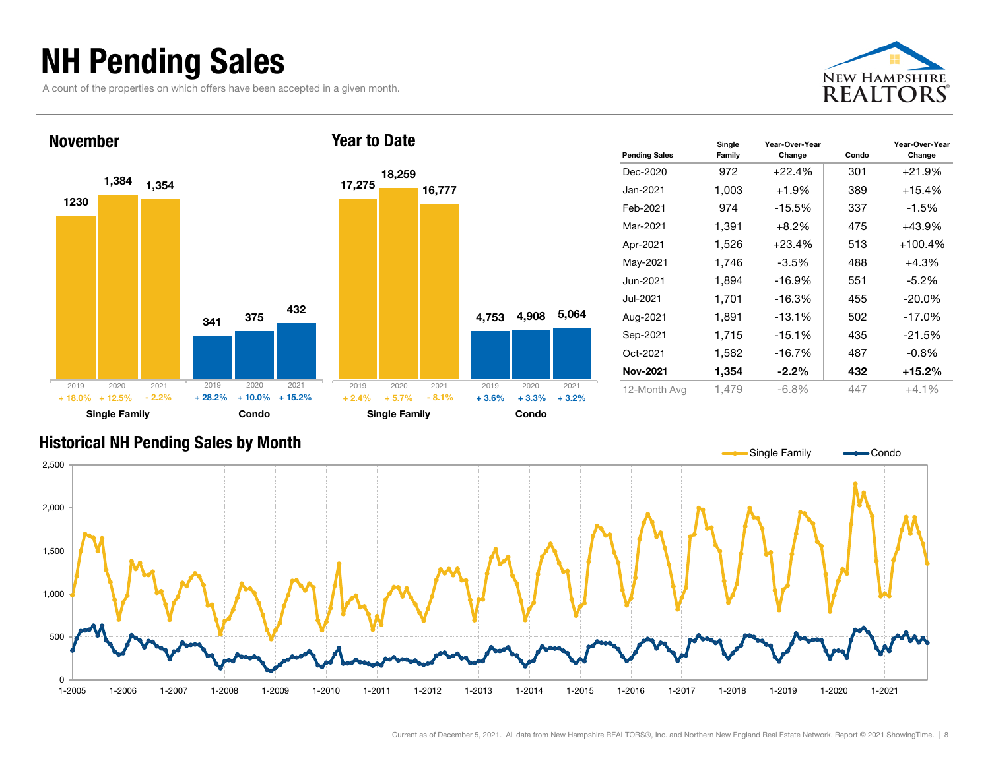### NH Pending Sales

A count of the properties on which offers have been accepted in a given month.





| <b>Pending Sales</b> | Single<br>Family | Year-Over-Year<br>Change | Condo | Year-Over-Year<br>Change |
|----------------------|------------------|--------------------------|-------|--------------------------|
| Dec-2020             | 972              | $+22.4%$                 | 301   | $+21.9%$                 |
| Jan-2021             | 1,003            | $+1.9%$                  | 389   | $+15.4%$                 |
| Feb-2021             | 974              | $-15.5%$                 | 337   | $-1.5%$                  |
| Mar-2021             | 1,391            | $+8.2\%$                 | 475   | $+43.9%$                 |
| Apr-2021             | 1,526            | $+23.4%$                 | 513   | $+100.4%$                |
| May-2021             | 1,746            | $-3.5%$                  | 488   | +4.3%                    |
| Jun-2021.            | 1,894            | $-16.9%$                 | 551   | $-5.2\%$                 |
| Jul-2021             | 1,701            | $-16.3%$                 | 455   | $-20.0\%$                |
| Aug-2021             | 1,891            | $-13.1%$                 | 502   | $-17.0%$                 |
| Sep-2021             | 1,715            | $-15.1%$                 | 435   | $-21.5%$                 |
| Oct-2021             | 1,582            | $-16.7%$                 | 487   | $-0.8\%$                 |
| Nov-2021             | 1,354            | $-2.2\%$                 | 432   | $+15.2%$                 |
| 12-Month Avg         | 1.479            | $-6.8%$                  | 447   | $+4.1\%$                 |

#### Historical NH Pending Sales by Month

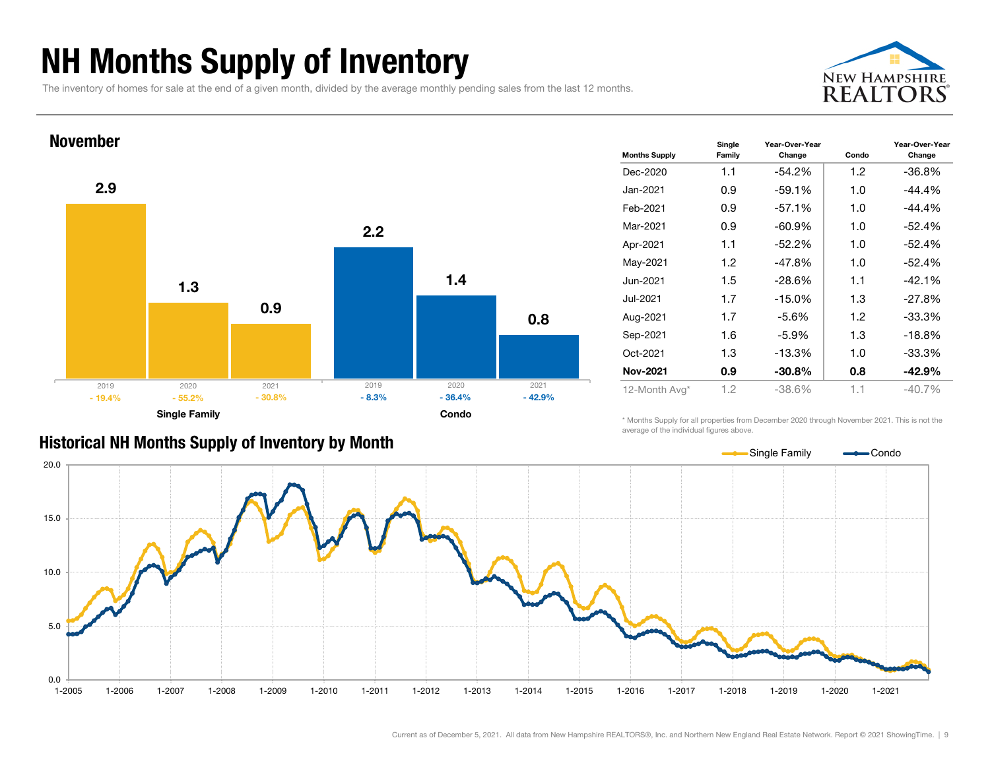### NH Months Supply of Inventory

The inventory of homes for sale at the end of a given month, divided by the average monthly pending sales from the last 12 months.





| <b>Months Supply</b> | Single<br>Family | Year-Over-Year<br>Change | Condo            | Year-Over-Year<br>Change |
|----------------------|------------------|--------------------------|------------------|--------------------------|
| Dec-2020             | 1.1              | $-54.2\%$                | 1.2              | $-36.8%$                 |
| Jan-2021             | 0.9              | $-59.1%$                 | 1.0              | -44.4%                   |
| Feb-2021             | 0.9              | $-57.1%$                 | 1.0              | $-44.4%$                 |
| Mar-2021             | 0.9              | $-60.9%$                 | 1.0              | $-52.4%$                 |
| Apr-2021             | 1.1              | $-52.2%$                 | 1.0              | $-52.4%$                 |
| May-2021             | 1.2              | $-47.8%$                 | 1.0              | $-52.4%$                 |
| Jun-2021             | 1.5              | -28.6%                   | 1.1              | $-42.1%$                 |
| Jul-2021.            | 1.7              | $-15.0%$                 | 1.3              | $-27.8%$                 |
| Aug-2021             | 1.7              | $-5.6%$                  | 1.2 <sub>2</sub> | $-33.3%$                 |
| Sep-2021             | 1.6              | $-5.9\%$                 | 1.3              | $-18.8%$                 |
| Oct-2021             | 1.3              | $-13.3%$                 | 1.0              | $-33.3%$                 |
| <b>Nov-2021</b>      | 0.9              | $-30.8\%$                | 0.8              | $-42.9%$                 |
| 12-Month Avg*        | 1.2              | $-38.6%$                 | 1.1              | $-40.7\%$                |

#### Historical NH Months Supply of Inventory by Month

\* Months Supply for all properties from December 2020 through November 2021. This is not the average of the individual figures above.

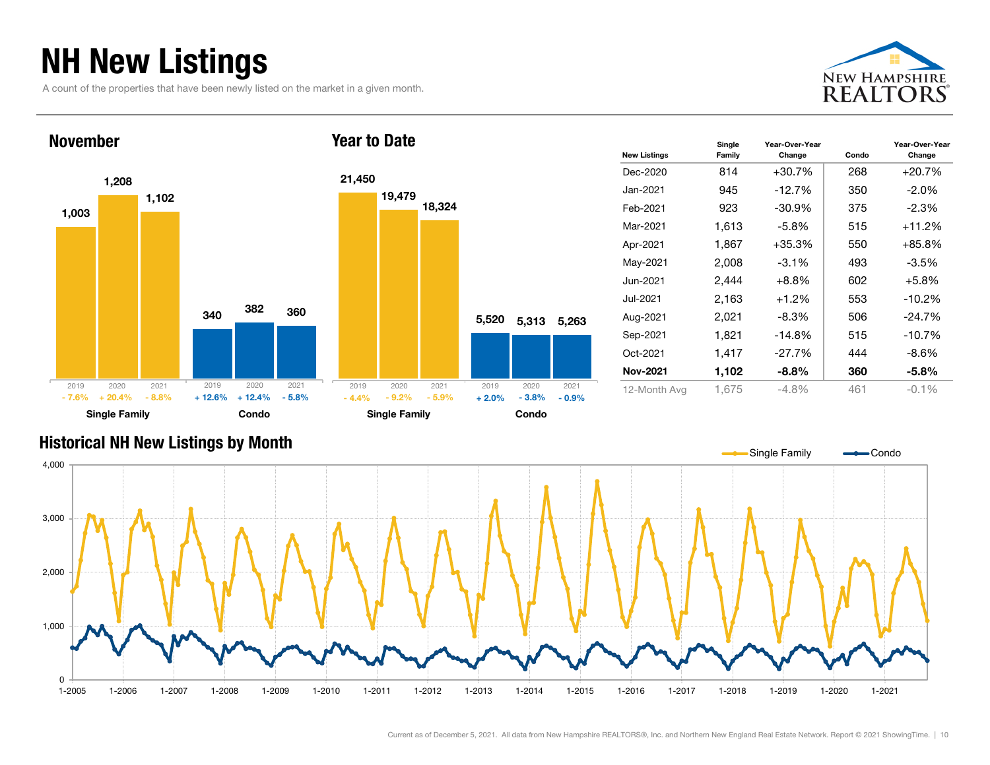### NH New Listings

A count of the properties that have been newly listed on the market in a given month.





| <b>New Listings</b> | Single<br>Family | Year-Over-Year<br>Change | Condo | Year-Over-Year<br>Change |
|---------------------|------------------|--------------------------|-------|--------------------------|
| Dec-2020            | 814              | $+30.7%$                 | 268   | +20.7%                   |
| Jan-2021            | 945              | $-12.7\%$                | 350   | $-2.0%$                  |
| Feb-2021            | 923              | -30.9%                   | 375   | $-2.3%$                  |
| Mar-2021            | 1,613            | -5.8%                    | 515   | $+11.2%$                 |
| Apr-2021            | 1,867            | $+35.3%$                 | 550   | $+85.8%$                 |
| May-2021            | 2,008            | $-3.1\%$                 | 493   | $-3.5%$                  |
| Jun-2021            | 2,444            | $+8.8\%$                 | 602   | $+5.8%$                  |
| Jul-2021            | 2.163            | $+1.2%$                  | 553   | $-10.2%$                 |
| Aug-2021            | 2,021            | $-8.3\%$                 | 506   | $-24.7%$                 |
| Sep-2021            | 1,821            | $-14.8\%$                | 515   | $-10.7%$                 |
| Oct-2021            | 1,417            | -27.7%                   | 444   | $-8.6%$                  |
| <b>Nov-2021</b>     | 1,102            | $-8.8%$                  | 360   | $-5.8\%$                 |
| 12-Month Avg        | 1,675            | -4.8%                    | 461   | $-0.1%$                  |

#### Historical NH New Listings by Month

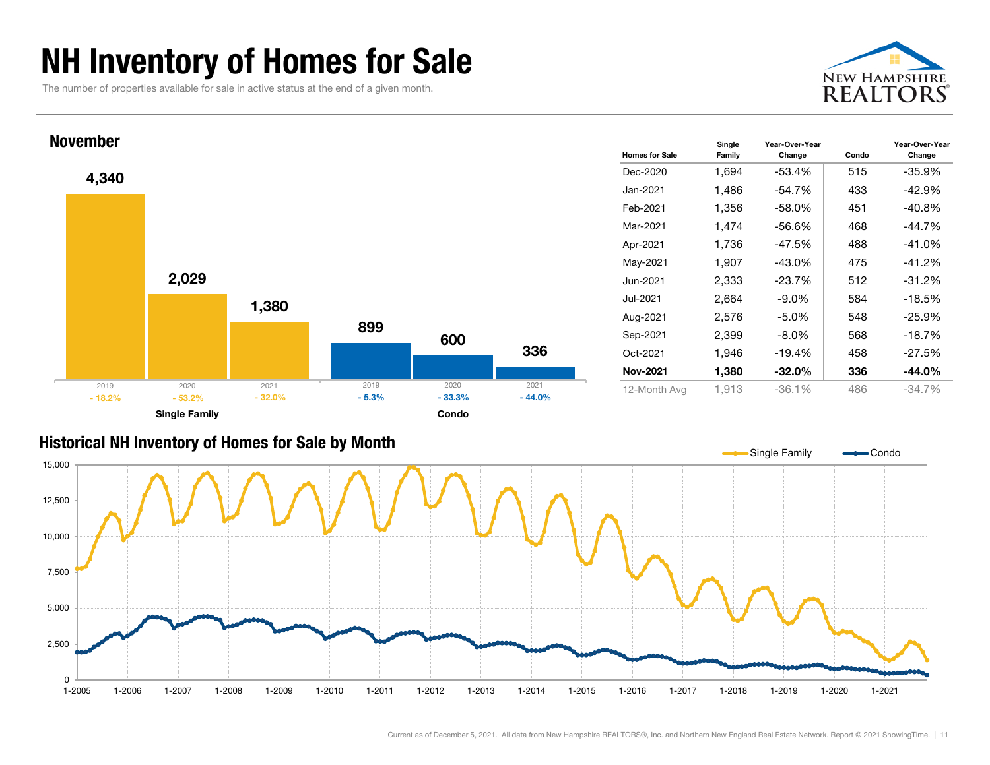### NH Inventory of Homes for Sale

The number of properties available for sale in active status at the end of a given month.





#### Historical NH Inventory of Homes for Sale by Month

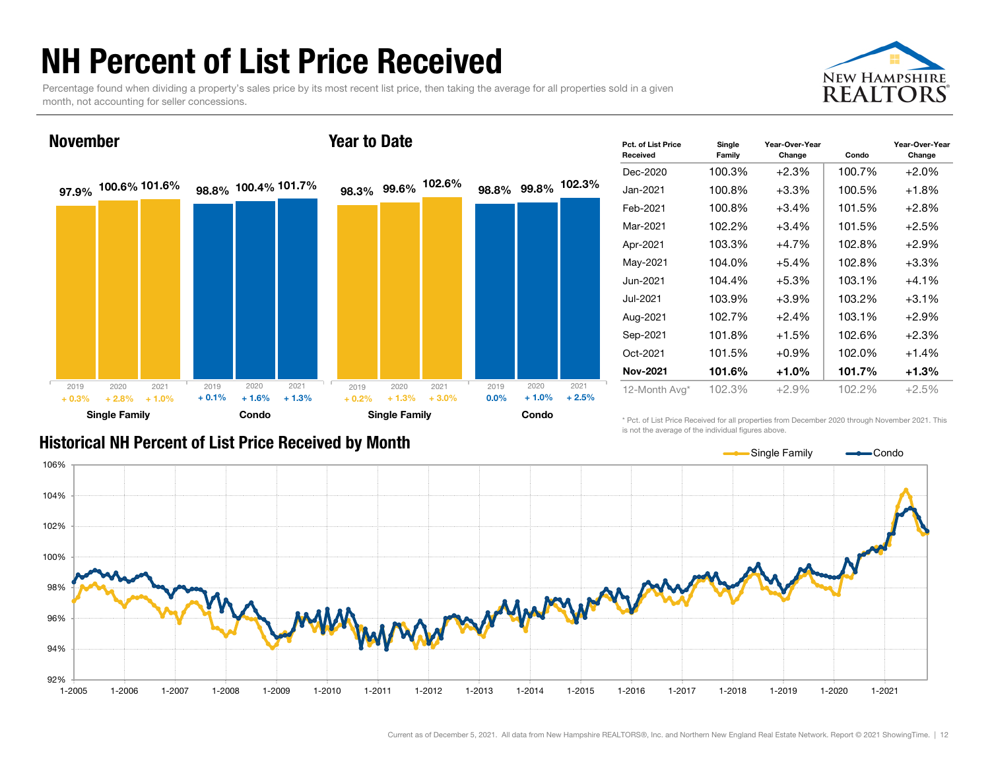### NH Percent of List Price Received

Percentage found when dividing a property's sales price by its most recent list price, then taking the average for all properties sold in a given month, not accounting for seller concessions.



#### November

#### Year to Date



| Pct. of List Price<br>Received | Single<br>Family | Year-Over-Year<br>Change | Condo  | Year-Over-Year<br>Change |
|--------------------------------|------------------|--------------------------|--------|--------------------------|
| Dec-2020                       | 100.3%           | +2.3%                    | 100.7% | $+2.0%$                  |
| Jan-2021                       | 100.8%           | +3.3%                    | 100.5% | $+1.8%$                  |
| Feb-2021                       | 100.8%           | +3.4%                    | 101.5% | $+2.8%$                  |
| Mar-2021                       | 102.2%           | +3.4%                    | 101.5% | $+2.5%$                  |
| Apr-2021                       | 103.3%           | +4.7%                    | 102.8% | $+2.9%$                  |
| May-2021                       | 104.0%           | +5.4%                    | 102.8% | $+3.3%$                  |
| Jun-2021                       | 104.4%           | +5.3%                    | 103.1% | $+4.1%$                  |
| Jul-2021                       | 103.9%           | $+3.9\%$                 | 103.2% | $+3.1%$                  |
| Aug-2021                       | 102.7%           | $+2.4%$                  | 103.1% | $+2.9%$                  |
| Sep-2021                       | 101.8%           | +1.5%                    | 102.6% | $+2.3%$                  |
| Oct-2021                       | 101.5%           | +0.9%                    | 102.0% | $+1.4%$                  |
| <b>Nov-2021</b>                | 101.6%           | +1.0%                    | 101.7% | $+1.3%$                  |
| 12-Month Avg*                  | 102.3%           | $+2.9%$                  | 102.2% | $+2.5%$                  |

#### Historical NH Percent of List Price Received by Month

\* Pct. of List Price Received for all properties from December 2020 through November 2021. This is not the average of the individual figures above.

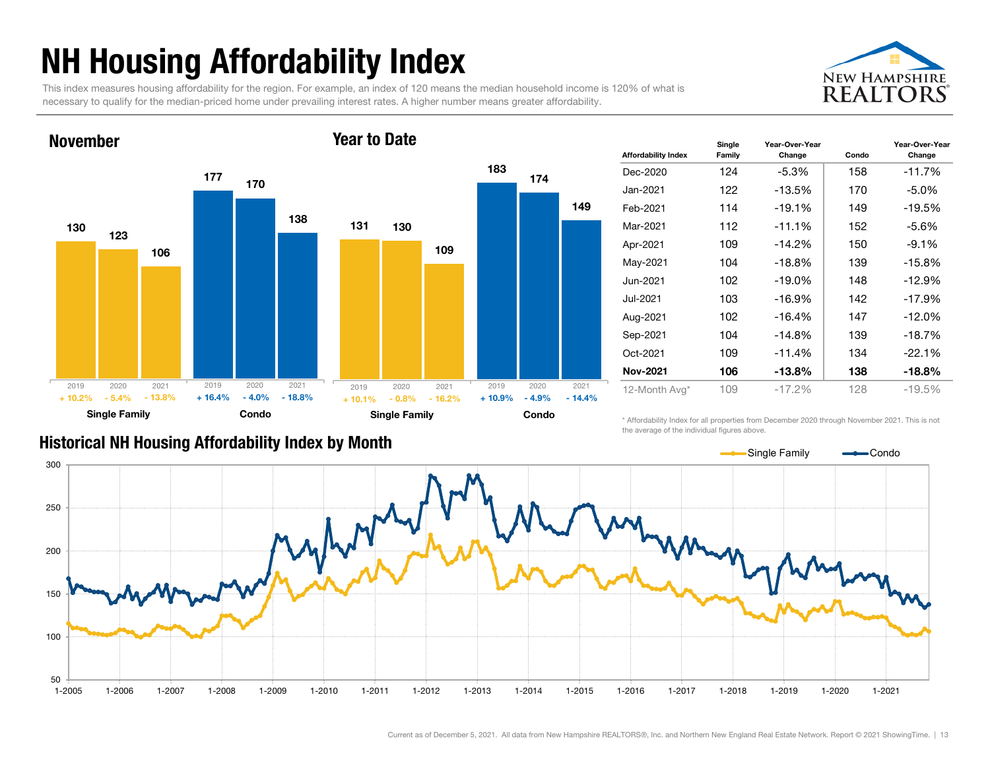# NH Housing Affordability Index

This index measures housing affordability for the region. For example, an index of 120 means the median household income is 120% of what is necessary to qualify for the median-priced home under prevailing interest rates. A higher number means greater affordability.

Year to Date



#### 130177123170106138Single Family **Condo** November2019 2020 2021- 5.4%% - 5.4% - 13.8% + 16.4% - 4.0% - 18.8% 2019 2020 2021+ 10.2%131183 130174109149Single Family **Condo** - 4.9% $-14.4%$ 2019 2020 2021 2019 2020 2021  $+ 10.1%$  $-0.8\%$   $-16.2\%$   $+10.9\%$

| <b>Affordability Index</b> | Single<br>Family | Year-Over-Year<br>Change | Condo | Year-Over-Year<br>Change |
|----------------------------|------------------|--------------------------|-------|--------------------------|
| Dec-2020                   | 124              | $-5.3%$                  | 158   | $-11.7%$                 |
| Jan-2021                   | 122              | $-13.5%$                 | 170   | $-5.0\%$                 |
| Feb-2021                   | 114              | $-19.1%$                 | 149   | $-19.5%$                 |
| Mar-2021                   | 112              | $-11.1%$                 | 152   | $-5.6%$                  |
| Apr-2021                   | 109              | $-14.2%$                 | 150   | $-9.1%$                  |
| May-2021                   | 104              | $-18.8%$                 | 139   | $-15.8%$                 |
| Jun-2021                   | 102              | $-19.0\%$                | 148   | $-12.9%$                 |
| Jul-2021                   | 103              | $-16.9%$                 | 142   | $-17.9%$                 |
| Aug-2021                   | 102              | $-16.4%$                 | 147   | $-12.0%$                 |
| Sep-2021                   | 104              | $-14.8%$                 | 139   | $-18.7%$                 |
| Oct-2021                   | 109              | $-11.4%$                 | 134   | $-22.1%$                 |
| <b>Nov-2021</b>            | 106              | $-13.8%$                 | 138   | -18.8%                   |
| 12-Month Avg*              | 109              | $-17.2%$                 | 128   | $-19.5%$                 |

#### Historical NH Housing Affordability Index by Mont h

\* Affordability Index for all properties from December 2020 through November 2021. This is not the average of the individual figures above.

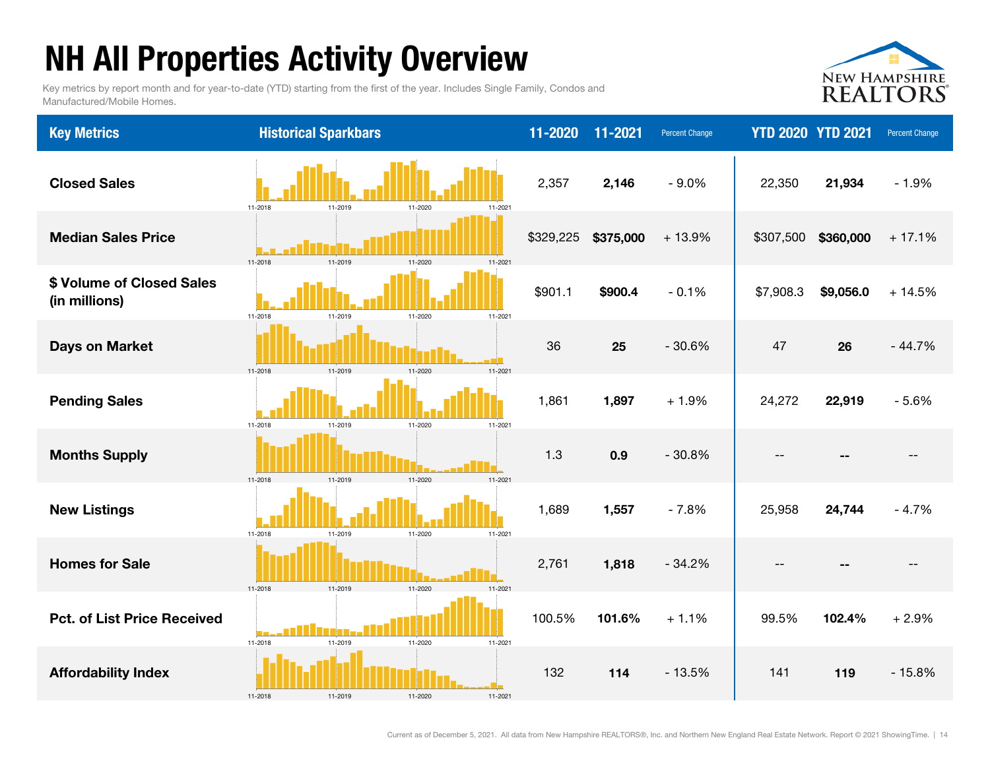# NH All Properties Activity Overview

Key metrics by report month and for year-to-date (YTD) starting from the first of the year. Includes Single Family, Condos and Manufactured/Mobile Homes.



| <b>Key Metrics</b>                         | <b>Historical Sparkbars</b>                     | 11-2020   | 11-2021   | <b>Percent Change</b> | <b>YTD 2020 YTD 2021</b> |           | Percent Change |
|--------------------------------------------|-------------------------------------------------|-----------|-----------|-----------------------|--------------------------|-----------|----------------|
| <b>Closed Sales</b>                        | 11-2018<br>11-2019<br>11-2020<br>11-2021        | 2,357     | 2,146     | $-9.0%$               | 22,350                   | 21,934    | $-1.9%$        |
| <b>Median Sales Price</b>                  | 11-2018<br>11-2020<br>11-2021                   | \$329,225 | \$375,000 | $+13.9%$              | \$307,500                | \$360,000 | $+17.1%$       |
| \$ Volume of Closed Sales<br>(in millions) | 11-2018<br>11-2020<br>11-2021<br>11-2019        | \$901.1   | \$900.4   | $-0.1%$               | \$7,908.3                | \$9,056.0 | $+14.5%$       |
| <b>Days on Market</b>                      | 11-2019<br>11-2018<br>$11 - 2020$<br>$11 - 202$ | 36        | 25        | $-30.6%$              | 47                       | 26        | $-44.7%$       |
| <b>Pending Sales</b>                       | 11-2018<br>11-2019<br>11-2020<br>11-2021        | 1,861     | 1,897     | $+1.9%$               | 24,272                   | 22,919    | $-5.6%$        |
| <b>Months Supply</b>                       | 11-2020<br>11-2019<br>11-2021<br>11-2018        | 1.3       | 0.9       | $-30.8%$              |                          |           |                |
| <b>New Listings</b>                        | 11-2018<br>11-2019<br>11-2020<br>11-2021        | 1,689     | 1,557     | $-7.8%$               | 25,958                   | 24,744    | $-4.7%$        |
| <b>Homes for Sale</b>                      | 11-2018<br>11-2021<br>11-2019<br>11-2020        | 2,761     | 1,818     | $-34.2%$              |                          |           |                |
| <b>Pct. of List Price Received</b>         | 11-2018<br>11-2019<br>11-2020<br>11-2021        | 100.5%    | 101.6%    | $+1.1%$               | 99.5%                    | 102.4%    | $+2.9%$        |
| <b>Affordability Index</b>                 | 11-2018<br>11-2019<br>11-2020<br>11-2021        | 132       | 114       | $-13.5%$              | 141                      | 119       | $-15.8%$       |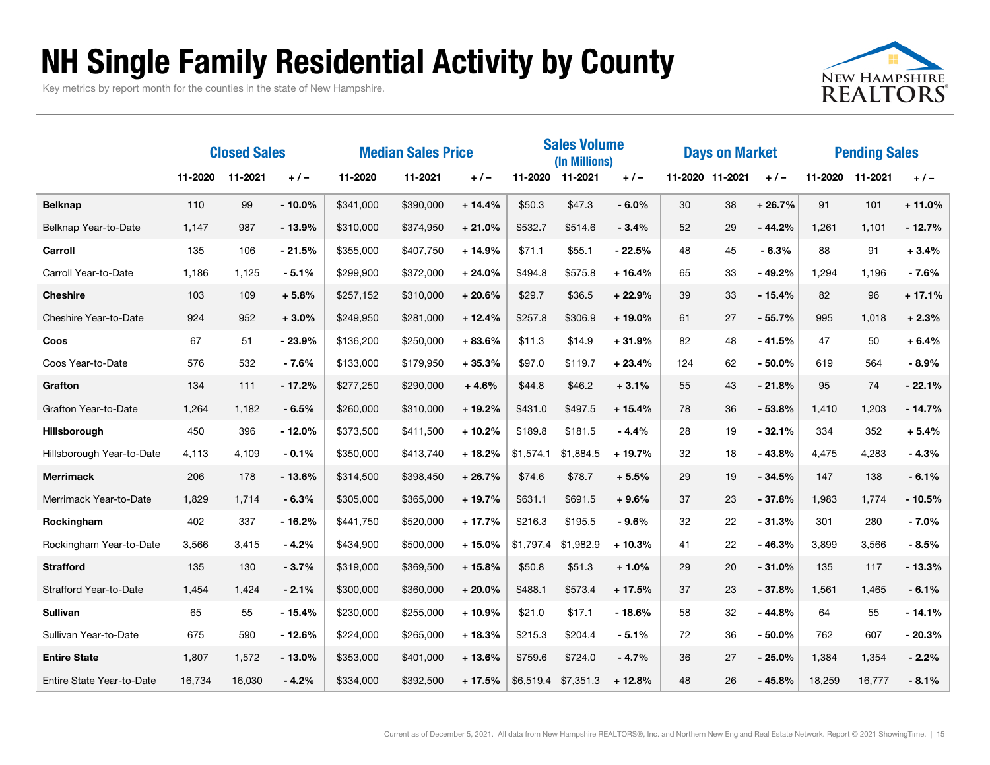### NH Single Family Residential Activity by County

Key metrics by report month for the counties in the state of New Hampshire.



|                               | <b>Closed Sales</b> |         | <b>Median Sales Price</b> |           |           | <b>Sales Volume</b><br>(In Millions) |           |                 | <b>Days on Market</b> |     |                 | <b>Pending Sales</b> |        |                 |          |
|-------------------------------|---------------------|---------|---------------------------|-----------|-----------|--------------------------------------|-----------|-----------------|-----------------------|-----|-----------------|----------------------|--------|-----------------|----------|
|                               | 11-2020             | 11-2021 | $+/-$                     | 11-2020   | 11-2021   | $+/-$                                |           | 11-2020 11-2021 | $+/-$                 |     | 11-2020 11-2021 | $+/-$                |        | 11-2020 11-2021 | $+/-$    |
| <b>Belknap</b>                | 110                 | 99      | $-10.0%$                  | \$341,000 | \$390,000 | $+14.4%$                             | \$50.3    | \$47.3          | $-6.0%$               | 30  | 38              | $+26.7%$             | 91     | 101             | $+11.0%$ |
| Belknap Year-to-Date          | 1,147               | 987     | $-13.9%$                  | \$310,000 | \$374,950 | $+21.0%$                             | \$532.7   | \$514.6         | $-3.4%$               | 52  | 29              | $-44.2%$             | 1,261  | 1,101           | $-12.7%$ |
| Carroll                       | 135                 | 106     | $-21.5%$                  | \$355,000 | \$407,750 | $+14.9%$                             | \$71.1    | \$55.1          | $-22.5%$              | 48  | 45              | $-6.3%$              | 88     | 91              | $+3.4%$  |
| Carroll Year-to-Date          | 1,186               | 1,125   | $-5.1%$                   | \$299,900 | \$372,000 | $+24.0%$                             | \$494.8   | \$575.8         | $+16.4%$              | 65  | 33              | $-49.2%$             | 1,294  | 1,196           | $-7.6%$  |
| <b>Cheshire</b>               | 103                 | 109     | $+5.8%$                   | \$257,152 | \$310,000 | $+20.6%$                             | \$29.7    | \$36.5          | $+22.9%$              | 39  | 33              | $-15.4%$             | 82     | 96              | $+17.1%$ |
| Cheshire Year-to-Date         | 924                 | 952     | $+3.0%$                   | \$249,950 | \$281,000 | $+12.4%$                             | \$257.8   | \$306.9         | $+19.0%$              | 61  | 27              | $-55.7%$             | 995    | 1,018           | $+2.3%$  |
| Coos                          | 67                  | 51      | $-23.9%$                  | \$136,200 | \$250,000 | $+83.6%$                             | \$11.3    | \$14.9          | $+31.9%$              | 82  | 48              | $-41.5%$             | 47     | 50              | $+6.4%$  |
| Coos Year-to-Date             | 576                 | 532     | - 7.6%                    | \$133,000 | \$179,950 | $+35.3%$                             | \$97.0    | \$119.7         | $+23.4%$              | 124 | 62              | $-50.0\%$            | 619    | 564             | $-8.9%$  |
| Grafton                       | 134                 | 111     | $-17.2%$                  | \$277,250 | \$290,000 | $+4.6%$                              | \$44.8    | \$46.2          | $+3.1%$               | 55  | 43              | $-21.8%$             | 95     | 74              | $-22.1%$ |
| Grafton Year-to-Date          | 1,264               | 1,182   | $-6.5%$                   | \$260,000 | \$310,000 | $+19.2%$                             | \$431.0   | \$497.5         | $+15.4%$              | 78  | 36              | $-53.8%$             | 1,410  | 1,203           | $-14.7%$ |
| Hillsborough                  | 450                 | 396     | - 12.0%                   | \$373,500 | \$411,500 | $+10.2%$                             | \$189.8   | \$181.5         | $-4.4%$               | 28  | 19              | $-32.1%$             | 334    | 352             | $+5.4%$  |
| Hillsborough Year-to-Date     | 4,113               | 4,109   | $-0.1%$                   | \$350,000 | \$413,740 | $+18.2%$                             | \$1,574.1 | \$1,884.5       | $+19.7%$              | 32  | 18              | - 43.8%              | 4,475  | 4,283           | $-4.3%$  |
| <b>Merrimack</b>              | 206                 | 178     | $-13.6%$                  | \$314,500 | \$398,450 | $+26.7%$                             | \$74.6    | \$78.7          | $+5.5%$               | 29  | 19              | $-34.5%$             | 147    | 138             | $-6.1%$  |
| Merrimack Year-to-Date        | 1,829               | 1,714   | $-6.3%$                   | \$305,000 | \$365,000 | $+19.7%$                             | \$631.1   | \$691.5         | $+9.6%$               | 37  | 23              | $-37.8%$             | 1,983  | 1,774           | $-10.5%$ |
| Rockingham                    | 402                 | 337     | $-16.2%$                  | \$441,750 | \$520,000 | $+17.7%$                             | \$216.3   | \$195.5         | $-9.6%$               | 32  | 22              | $-31.3%$             | 301    | 280             | $-7.0%$  |
| Rockingham Year-to-Date       | 3,566               | 3,415   | $-4.2%$                   | \$434,900 | \$500,000 | $+15.0%$                             | \$1,797.4 | \$1,982.9       | $+10.3%$              | 41  | 22              | $-46.3%$             | 3,899  | 3,566           | $-8.5%$  |
| <b>Strafford</b>              | 135                 | 130     | $-3.7%$                   | \$319,000 | \$369,500 | $+15.8%$                             | \$50.8    | \$51.3          | $+1.0%$               | 29  | 20              | $-31.0%$             | 135    | 117             | $-13.3%$ |
| <b>Strafford Year-to-Date</b> | 1,454               | 1.424   | $-2.1%$                   | \$300,000 | \$360,000 | $+20.0%$                             | \$488.1   | \$573.4         | $+17.5%$              | 37  | 23              | $-37.8%$             | 1,561  | 1,465           | $-6.1%$  |
| <b>Sullivan</b>               | 65                  | 55      | $-15.4%$                  | \$230,000 | \$255,000 | $+10.9%$                             | \$21.0    | \$17.1          | $-18.6%$              | 58  | 32              | $-44.8%$             | 64     | 55              | $-14.1%$ |
| Sullivan Year-to-Date         | 675                 | 590     | $-12.6%$                  | \$224,000 | \$265,000 | $+18.3%$                             | \$215.3   | \$204.4         | $-5.1%$               | 72  | 36              | $-50.0\%$            | 762    | 607             | $-20.3%$ |
| <b>Entire State</b>           | 1,807               | 1,572   | $-13.0\%$                 | \$353,000 | \$401,000 | $+13.6%$                             | \$759.6   | \$724.0         | $-4.7%$               | 36  | 27              | $-25.0%$             | 1,384  | 1,354           | $-2.2%$  |
| Entire State Year-to-Date     | 16,734              | 16,030  | $-4.2%$                   | \$334,000 | \$392,500 | $+17.5%$                             | \$6,519.4 | \$7,351.3       | $+12.8%$              | 48  | 26              | - 45.8%              | 18,259 | 16,777          | $-8.1%$  |